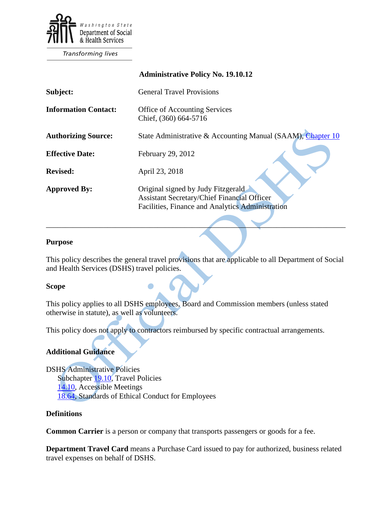

**Transforming lives** 

|                             | <b>Administrative Policy No. 19.10.12</b>                                                                                                    |
|-----------------------------|----------------------------------------------------------------------------------------------------------------------------------------------|
| Subject:                    | <b>General Travel Provisions</b>                                                                                                             |
| <b>Information Contact:</b> | Office of Accounting Services<br>Chief, (360) 664-5716                                                                                       |
| <b>Authorizing Source:</b>  | State Administrative & Accounting Manual (SAAM), Chapter 10                                                                                  |
| <b>Effective Date:</b>      | February 29, 2012                                                                                                                            |
| <b>Revised:</b>             | April 23, 2018                                                                                                                               |
| <b>Approved By:</b>         | Original signed by Judy Fitzgerald<br><b>Assistant Secretary/Chief Financial Officer</b><br>Facilities, Finance and Analytics Administration |

#### **Purpose**

This policy describes the general travel provisions that are applicable to all Department of Social and Health Services (DSHS) travel policies.

\_\_\_\_\_\_\_\_\_\_\_\_\_\_\_\_\_\_\_\_\_\_\_\_\_\_\_\_\_\_\_\_\_\_\_\_\_\_\_\_\_\_\_\_\_\_\_\_\_\_\_\_\_\_\_\_\_\_\_\_\_\_\_\_\_\_\_\_\_\_\_\_\_\_\_\_\_\_

#### **Scope**

This policy applies to all DSHS employees, Board and Commission members (unless stated otherwise in statute), as well as volunteers.

This policy does not apply to contractors reimbursed by specific contractual arrangements.

## **Additional Guidance**

DSHS Administrative Policies Subchapter [19.10,](http://one.dshs.wa.lcl/policies/Pages/default.aspx) Travel Policies [14.10,](http://one.dshs.wa.lcl/Policies/Administrative/DSHS-AP-14-10.pdf) Accessible Meetings [18.64,](http://one.dshs.wa.lcl/Policies/Administrative/DSHS-AP-18-64.pdf) Standards of Ethical Conduct for Employees

### **Definitions**

**Common Carrier** is a person or company that transports passengers or goods for a fee.

**Department Travel Card** means a Purchase Card issued to pay for authorized, business related travel expenses on behalf of DSHS.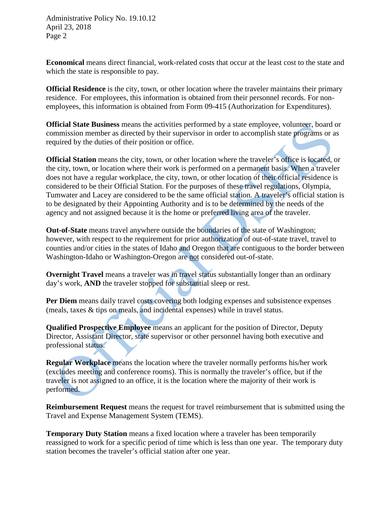**Economical** means direct financial, work-related costs that occur at the least cost to the state and which the state is responsible to pay.

**Official Residence** is the city, town, or other location where the traveler maintains their primary residence. For employees, this information is obtained from their personnel records. For nonemployees, this information is obtained from Form 09-415 (Authorization for Expenditures).

**Official State Business** means the activities performed by a state employee, volunteer, board or commission member as directed by their supervisor in order to accomplish state programs or as required by the duties of their position or office.

**Official Station** means the city, town, or other location where the traveler's office is located, or the city, town, or location where their work is performed on a permanent basis. When a traveler does not have a regular workplace, the city, town, or other location of their official residence is considered to be their Official Station. For the purposes of these travel regulations, Olympia, Tumwater and Lacey are considered to be the same official station. A traveler's official station is to be designated by their Appointing Authority and is to be determined by the needs of the agency and not assigned because it is the home or preferred living area of the traveler.

**Out-of-State** means travel anywhere outside the boundaries of the state of Washington; however, with respect to the requirement for prior authorization of out-of-state travel, travel to counties and/or cities in the states of Idaho and Oregon that are contiguous to the border between Washington-Idaho or Washington-Oregon are not considered out-of-state.

**Overnight Travel** means a traveler was in travel status substantially longer than an ordinary day's work, **AND** the traveler stopped for substantial sleep or rest.

**Per Diem** means daily travel costs covering both lodging expenses and subsistence expenses (meals, taxes & tips on meals, and incidental expenses) while in travel status.

**Qualified Prospective Employee** means an applicant for the position of Director, Deputy Director, Assistant Director, state supervisor or other personnel having both executive and professional status.

**Regular Workplace** means the location where the traveler normally performs his/her work (excludes meeting and conference rooms). This is normally the traveler's office, but if the traveler is not assigned to an office, it is the location where the majority of their work is performed.

**Reimbursement Request** means the request for travel reimbursement that is submitted using the Travel and Expense Management System (TEMS).

**Temporary Duty Station** means a fixed location where a traveler has been temporarily reassigned to work for a specific period of time which is less than one year. The temporary duty station becomes the traveler's official station after one year.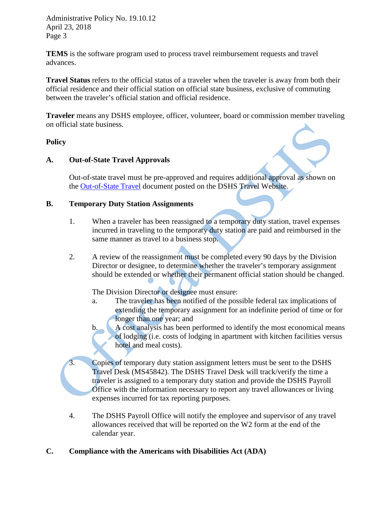**TEMS** is the software program used to process travel reimbursement requests and travel advances.

**Travel Status** refers to the official status of a traveler when the traveler is away from both their official residence and their official station on official state business, exclusive of commuting between the traveler's official station and official residence.

**Traveler** means any DSHS employee, officer, volunteer, board or commission member traveling on official state business.

### **Policy**

## **A. Out-of-State Travel Approvals**

Out-of-state travel must be pre-approved and requires additional approval as shown on the [Out-of-State Travel](http://one.dshs.wa.lcl/FS/Fiscal/Accounting/Travel/Documents/Out-of-State%20Travel.docx) document posted on the DSHS Travel Website.

### **B. Temporary Duty Station Assignments**

- 1. When a traveler has been reassigned to a temporary duty station, travel expenses incurred in traveling to the temporary duty station are paid and reimbursed in the same manner as travel to a business stop.
- 2. A review of the reassignment must be completed every 90 days by the Division Director or designee, to determine whether the traveler's temporary assignment should be extended or whether their permanent official station should be changed.

The Division Director or designee must ensure:

- a. The traveler has been notified of the possible federal tax implications of extending the temporary assignment for an indefinite period of time or for longer than one year; and
- b. A cost analysis has been performed to identify the most economical means of lodging (i.e. costs of lodging in apartment with kitchen facilities versus hotel and meal costs).
- 3. Copies of temporary duty station assignment letters must be sent to the DSHS Travel Desk (MS45842). The DSHS Travel Desk will track/verify the time a traveler is assigned to a temporary duty station and provide the DSHS Payroll Office with the information necessary to report any travel allowances or living expenses incurred for tax reporting purposes.
- 4. The DSHS Payroll Office will notify the employee and supervisor of any travel allowances received that will be reported on the W2 form at the end of the calendar year.

## **C. Compliance with the Americans with Disabilities Act (ADA)**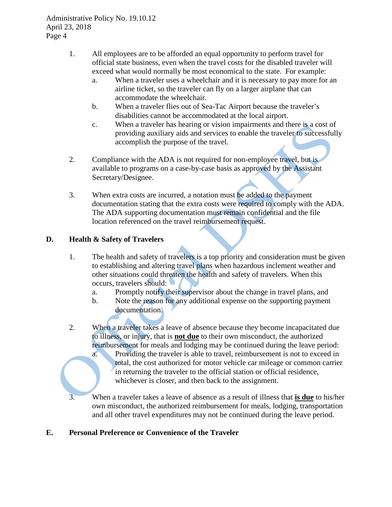- 1. All employees are to be afforded an equal opportunity to perform travel for official state business, even when the travel costs for the disabled traveler will exceed what would normally be most economical to the state. For example:
	- a. When a traveler uses a wheelchair and it is necessary to pay more for an airline ticket, so the traveler can fly on a larger airplane that can accommodate the wheelchair.
	- b. When a traveler flies out of Sea-Tac Airport because the traveler's disabilities cannot be accommodated at the local airport.
	- c. When a traveler has hearing or vision impairments and there is a cost of providing auxiliary aids and services to enable the traveler to successfully accomplish the purpose of the travel.
- 2. Compliance with the ADA is not required for non-employee travel, but is available to programs on a case-by-case basis as approved by the Assistant Secretary/Designee.
- 3. When extra costs are incurred, a notation must be added to the payment documentation stating that the extra costs were required to comply with the ADA. The ADA supporting documentation must remain confidential and the file location referenced on the travel reimbursement request.

## **D. Health & Safety of Travelers**

- 1. The health and safety of travelers is a top priority and consideration must be given to establishing and altering travel plans when hazardous inclement weather and other situations could threaten the health and safety of travelers. When this occurs, travelers should:
	- a. Promptly notify their supervisor about the change in travel plans, and
	- b. Note the reason for any additional expense on the supporting payment documentation.
- 2. When a traveler takes a leave of absence because they become incapacitated due to illness, or injury, that is **not due** to their own misconduct, the authorized reimbursement for meals and lodging may be continued during the leave period: a. Providing the traveler is able to travel, reimbursement is not to exceed in total, the cost authorized for motor vehicle car mileage or common carrier in returning the traveler to the official station or official residence, whichever is closer, and then back to the assignment.
- 3. When a traveler takes a leave of absence as a result of illness that **is due** to his/her own misconduct, the authorized reimbursement for meals, lodging, transportation and all other travel expenditures may not be continued during the leave period.

## **E. Personal Preference or Convenience of the Traveler**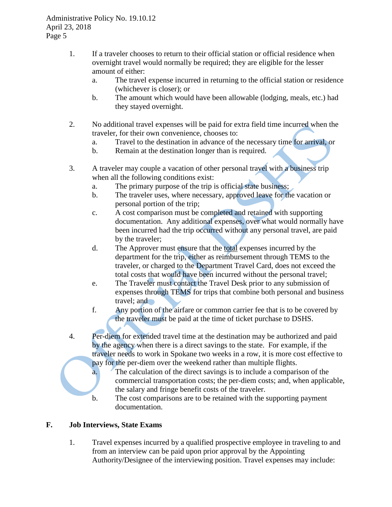- 1. If a traveler chooses to return to their official station or official residence when overnight travel would normally be required; they are eligible for the lesser amount of either:
	- a. The travel expense incurred in returning to the official station or residence (whichever is closer); or
	- b. The amount which would have been allowable (lodging, meals, etc.) had they stayed overnight.
- 2. No additional travel expenses will be paid for extra field time incurred when the traveler, for their own convenience, chooses to:
	- a. Travel to the destination in advance of the necessary time for arrival, or
	- b. Remain at the destination longer than is required.
- 3. A traveler may couple a vacation of other personal travel with a business trip when all the following conditions exist:
	- a. The primary purpose of the trip is official state business;
	- b. The traveler uses, where necessary, approved leave for the vacation or personal portion of the trip;
	- c. A cost comparison must be completed and retained with supporting documentation. Any additional expenses, over what would normally have been incurred had the trip occurred without any personal travel, are paid by the traveler;
	- d. The Approver must ensure that the total expenses incurred by the department for the trip, either as reimbursement through TEMS to the traveler, or charged to the Department Travel Card, does not exceed the total costs that would have been incurred without the personal travel;
	- e. The Traveler must contact the Travel Desk prior to any submission of expenses through TEMS for trips that combine both personal and business travel; and
	- f. Any portion of the airfare or common carrier fee that is to be covered by the traveler must be paid at the time of ticket purchase to DSHS.
- 4. Per-diem for extended travel time at the destination may be authorized and paid by the agency when there is a direct savings to the state. For example, if the traveler needs to work in Spokane two weeks in a row, it is more cost effective to pay for the per-diem over the weekend rather than multiple flights.
	- a. The calculation of the direct savings is to include a comparison of the commercial transportation costs; the per-diem costs; and, when applicable, the salary and fringe benefit costs of the traveler.
	- b. The cost comparisons are to be retained with the supporting payment documentation.

# **F. Job Interviews, State Exams**

1. Travel expenses incurred by a qualified prospective employee in traveling to and from an interview can be paid upon prior approval by the Appointing Authority/Designee of the interviewing position. Travel expenses may include: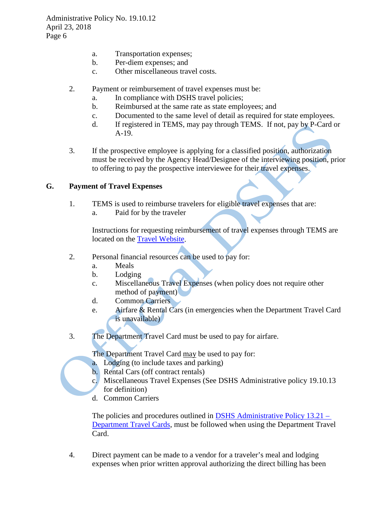- a. Transportation expenses;
- b. Per-diem expenses; and
- c. Other miscellaneous travel costs.
- 2. Payment or reimbursement of travel expenses must be:
	- a. In compliance with DSHS travel policies;
	- b. Reimbursed at the same rate as state employees; and
	- c. Documented to the same level of detail as required for state employees.
	- d. If registered in TEMS, may pay through TEMS. If not, pay by P-Card or A-19.
- 3. If the prospective employee is applying for a classified position, authorization must be received by the Agency Head/Designee of the interviewing position, prior to offering to pay the prospective interviewee for their travel expenses.

### **G. Payment of Travel Expenses**

- 1. TEMS is used to reimburse travelers for eligible travel expenses that are:
	- a. Paid for by the traveler

Instructions for requesting reimbursement of travel expenses through TEMS are located on the [Travel Website.](http://one.dshs.wa.lcl/FS/Fiscal/Accounting/Travel/Pages/default.aspx)

- 2. Personal financial resources can be used to pay for:
	- a. Meals
	- b. Lodging
	- c. Miscellaneous Travel Expenses (when policy does not require other method of payment)
	- d. Common Carriers
	- e. Airfare & Rental Cars (in emergencies when the Department Travel Card is unavailable)
- 3. The Department Travel Card must be used to pay for airfare.

The Department Travel Card may be used to pay for:

- a. Lodging (to include taxes and parking)
- b. Rental Cars (off contract rentals)
- c. Miscellaneous Travel Expenses (See DSHS Administrative policy 19.10.13 for definition)
- d. Common Carriers

The policies and procedures outlined in [DSHS Administrative Policy 13.21 –](http://one.dshs.wa.lcl/Policies/Administrative/DSHS-AP-13-21.pdf) [Department Travel Cards,](http://one.dshs.wa.lcl/Policies/Administrative/DSHS-AP-13-21.pdf) must be followed when using the Department Travel Card.

4. Direct payment can be made to a vendor for a traveler's meal and lodging expenses when prior written approval authorizing the direct billing has been